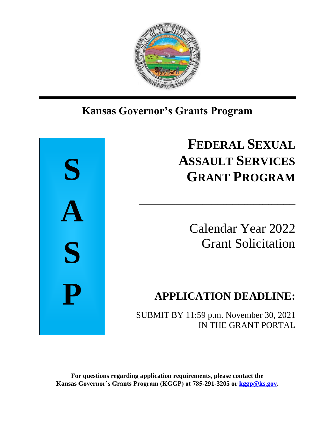

## Ι **Kansas Governor's Grants Program**



# **FEDERAL SEXUAL ASSAULT SERVICES GRANT PROGRAM**

Calendar Year 2022 Grant Solicitation

## **APPLICATION DEADLINE:**

SUBMIT BY 11:59 p.m. November 30, 2021 IN THE GRANT PORTAL

\_\_\_\_\_\_\_\_\_\_\_\_\_\_\_\_\_\_\_\_\_\_\_\_\_\_\_\_\_\_\_\_\_\_\_\_\_\_\_\_\_\_\_\_\_\_\_\_\_\_\_\_

**For questions regarding application requirements, please contact the Kansas Governor's Grants Program (KGGP) at 785-291-3205 or [kggp@ks.gov.](mailto:kggp@ks.gov)**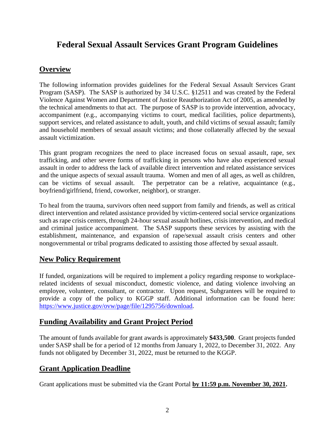## **Federal Sexual Assault Services Grant Program Guidelines**

## **Overview**

The following information provides guidelines for the Federal Sexual Assault Services Grant Program (SASP). The SASP is authorized by 34 U.S.C. §12511 and was created by the Federal Violence Against Women and Department of Justice Reauthorization Act of 2005, as amended by the technical amendments to that act. The purpose of SASP is to provide intervention, advocacy, accompaniment (e.g., accompanying victims to court, medical facilities, police departments), support services, and related assistance to adult, youth, and child victims of sexual assault; family and household members of sexual assault victims; and those collaterally affected by the sexual assault victimization.

This grant program recognizes the need to place increased focus on sexual assault, rape, sex trafficking, and other severe forms of trafficking in persons who have also experienced sexual assault in order to address the lack of available direct intervention and related assistance services and the unique aspects of sexual assault trauma. Women and men of all ages, as well as children, can be victims of sexual assault. The perpetrator can be a relative, acquaintance (e.g., boyfriend/girlfriend, friend, coworker, neighbor), or stranger.

To heal from the trauma, survivors often need support from family and friends, as well as critical direct intervention and related assistance provided by victim-centered social service organizations such as rape crisis centers, through 24-hour sexual assault hotlines, crisis intervention, and medical and criminal justice accompaniment. The SASP supports these services by assisting with the establishment, maintenance, and expansion of rape/sexual assault crisis centers and other nongovernmental or tribal programs dedicated to assisting those affected by sexual assault.

## **New Policy Requirement**

If funded, organizations will be required to implement a policy regarding response to workplacerelated incidents of sexual misconduct, domestic violence, and dating violence involving an employee, volunteer, consultant, or contractor. Upon request, Subgrantees will be required to provide a copy of the policy to KGGP staff. Additional information can be found here: [https://www.justice.gov/ovw/page/file/1295756/download.](https://www.justice.gov/ovw/page/file/1295756/download)

## **Funding Availability and Grant Project Period**

The amount of funds available for grant awards is approximately **\$433,500**. Grant projects funded under SASP shall be for a period of 12 months from January 1, 2022, to December 31, 2022. Any funds not obligated by December 31, 2022, must be returned to the KGGP.

## **Grant Application Deadline**

Grant applications must be submitted via the Grant Portal **by 11:59 p.m. November 30, 2021.**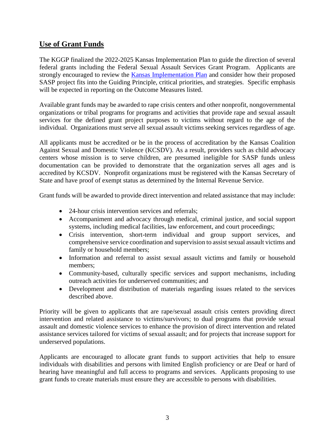## **Use of Grant Funds**

The KGGP finalized the 2022-2025 Kansas Implementation Plan to guide the direction of several federal grants including the Federal Sexual Assault Services Grant Program. Applicants are strongly encouraged to review the **Kansas Implementation Plan** and consider how their proposed SASP project fits into the Guiding Principle, critical priorities, and strategies. Specific emphasis will be expected in reporting on the Outcome Measures listed.

Available grant funds may be awarded to rape crisis centers and other nonprofit, nongovernmental organizations or tribal programs for programs and activities that provide rape and sexual assault services for the defined grant project purposes to victims without regard to the age of the individual. Organizations must serve all sexual assault victims seeking services regardless of age.

All applicants must be accredited or be in the process of accreditation by the Kansas Coalition Against Sexual and Domestic Violence (KCSDV). As a result, providers such as child advocacy centers whose mission is to serve children, are presumed ineligible for SASP funds unless documentation can be provided to demonstrate that the organization serves all ages and is accredited by KCSDV. Nonprofit organizations must be registered with the Kansas Secretary of State and have proof of exempt status as determined by the Internal Revenue Service.

Grant funds will be awarded to provide direct intervention and related assistance that may include:

- 24-hour crisis intervention services and referrals:
- Accompaniment and advocacy through medical, criminal justice, and social support systems, including medical facilities, law enforcement, and court proceedings;
- Crisis intervention, short-term individual and group support services, and comprehensive service coordination and supervision to assist sexual assault victims and family or household members;
- Information and referral to assist sexual assault victims and family or household members;
- Community-based, culturally specific services and support mechanisms, including outreach activities for underserved communities; and
- Development and distribution of materials regarding issues related to the services described above.

Priority will be given to applicants that are rape/sexual assault crisis centers providing direct intervention and related assistance to victims/survivors; to dual programs that provide sexual assault and domestic violence services to enhance the provision of direct intervention and related assistance services tailored for victims of sexual assault; and for projects that increase support for underserved populations.

Applicants are encouraged to allocate grant funds to support activities that help to ensure individuals with disabilities and persons with limited English proficiency or are Deaf or hard of hearing have meaningful and full access to programs and services. Applicants proposing to use grant funds to create materials must ensure they are accessible to persons with disabilities.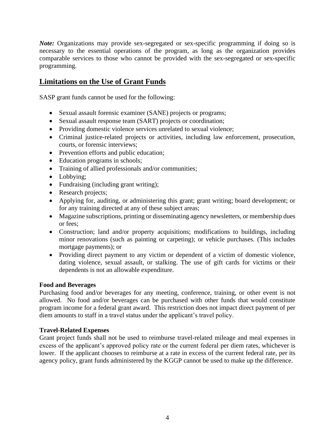*Note:* Organizations may provide sex-segregated or sex-specific programming if doing so is necessary to the essential operations of the program, as long as the organization provides comparable services to those who cannot be provided with the sex-segregated or sex-specific programming.

## **Limitations on the Use of Grant Funds**

SASP grant funds cannot be used for the following:

- Sexual assault forensic examiner (SANE) projects or programs;
- Sexual assault response team (SART) projects or coordination;
- Providing domestic violence services unrelated to sexual violence;
- Criminal justice-related projects or activities, including law enforcement, prosecution, courts, or forensic interviews;
- Prevention efforts and public education;
- Education programs in schools;
- Training of allied professionals and/or communities;
- Lobbying;
- Fundraising (including grant writing);
- Research projects;
- Applying for, auditing, or administering this grant; grant writing; board development; or for any training directed at any of these subject areas;
- Magazine subscriptions, printing or disseminating agency newsletters, or membership dues or fees;
- Construction; land and/or property acquisitions; modifications to buildings, including minor renovations (such as painting or carpeting); or vehicle purchases. (This includes mortgage payments); or
- Providing direct payment to any victim or dependent of a victim of domestic violence, dating violence, sexual assault, or stalking. The use of gift cards for victims or their dependents is not an allowable expenditure.

#### **Food and Beverages**

Purchasing food and/or beverages for any meeting, conference, training, or other event is not allowed. No food and/or beverages can be purchased with other funds that would constitute program income for a federal grant award. This restriction does not impact direct payment of per diem amounts to staff in a travel status under the applicant's travel policy.

#### **Travel-Related Expenses**

Grant project funds shall not be used to reimburse travel-related mileage and meal expenses in excess of the applicant's approved policy rate or the current federal per diem rates, whichever is lower. If the applicant chooses to reimburse at a rate in excess of the current federal rate, per its agency policy, grant funds administered by the KGGP cannot be used to make up the difference.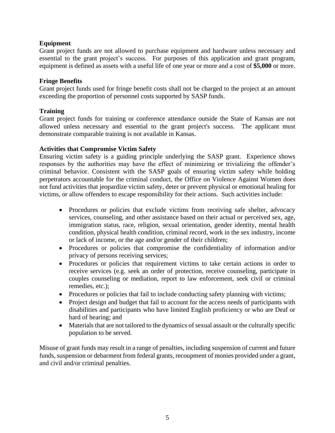#### **Equipment**

Grant project funds are not allowed to purchase equipment and hardware unless necessary and essential to the grant project's success. For purposes of this application and grant program, equipment is defined as assets with a useful life of one year or more and a cost of **\$5,000** or more.

#### **Fringe Benefits**

Grant project funds used for fringe benefit costs shall not be charged to the project at an amount exceeding the proportion of personnel costs supported by SASP funds.

#### **Training**

Grant project funds for training or conference attendance outside the State of Kansas are not allowed unless necessary and essential to the grant project's success. The applicant must demonstrate comparable training is not available in Kansas.

#### **Activities that Compromise Victim Safety**

Ensuring victim safety is a guiding principle underlying the SASP grant. Experience shows responses by the authorities may have the effect of minimizing or trivializing the offender's criminal behavior. Consistent with the SASP goals of ensuring victim safety while holding perpetrators accountable for the criminal conduct, the Office on Violence Against Women does not fund activities that jeopardize victim safety, deter or prevent physical or emotional healing for victims, or allow offenders to escape responsibility for their actions. Such activities include:

- Procedures or policies that exclude victims from receiving safe shelter, advocacy services, counseling, and other assistance based on their actual or perceived sex, age, immigration status, race, religion, sexual orientation, gender identity, mental health condition, physical health condition, criminal record, work in the sex industry, income or lack of income, or the age and/or gender of their children;
- Procedures or policies that compromise the confidentiality of information and/or privacy of persons receiving services;
- Procedures or policies that requirement victims to take certain actions in order to receive services (e.g. seek an order of protection, receive counseling, participate in couples counseling or mediation, report to law enforcement, seek civil or criminal remedies, etc.);
- Procedures or policies that fail to include conducting safety planning with victims;
- Project design and budget that fail to account for the access needs of participants with disabilities and participants who have limited English proficiency or who are Deaf or hard of hearing; and
- Materials that are not tailored to the dynamics of sexual assault or the culturally specific population to be served.

Misuse of grant funds may result in a range of penalties, including suspension of current and future funds, suspension or debarment from federal grants, recoupment of monies provided under a grant, and civil and/or criminal penalties.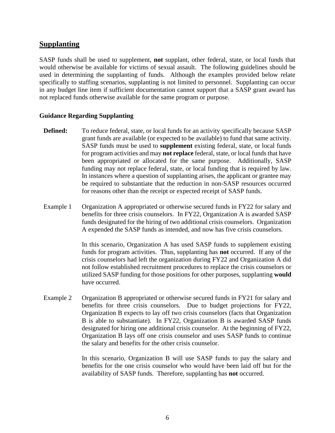#### **Supplanting**

SASP funds shall be used to supplement, **not** supplant, other federal, state, or local funds that would otherwise be available for victims of sexual assault. The following guidelines should be used in determining the supplanting of funds. Although the examples provided below relate specifically to staffing scenarios, supplanting is not limited to personnel. Supplanting can occur in any budget line item if sufficient documentation cannot support that a SASP grant award has not replaced funds otherwise available for the same program or purpose.

#### **Guidance Regarding Supplanting**

- **Defined:** To reduce federal, state, or local funds for an activity specifically because SASP grant funds are available (or expected to be available) to fund that same activity. SASP funds must be used to **supplement** existing federal, state, or local funds for program activities and may **not replace** federal, state, or local funds that have been appropriated or allocated for the same purpose. Additionally, SASP funding may not replace federal, state, or local funding that is required by law. In instances where a question of supplanting arises, the applicant or grantee may be required to substantiate that the reduction in non-SASP resources occurred for reasons other than the receipt or expected receipt of SASP funds.
- Example 1 Organization A appropriated or otherwise secured funds in FY22 for salary and benefits for three crisis counselors. In FY22, Organization A is awarded SASP funds designated for the hiring of two additional crisis counselors. Organization A expended the SASP funds as intended, and now has five crisis counselors.

In this scenario, Organization A has used SASP funds to supplement existing funds for program activities. Thus, supplanting has **not** occurred. If any of the crisis counselors had left the organization during FY22 and Organization A did not follow established recruitment procedures to replace the crisis counselors or utilized SASP funding for those positions for other purposes, supplanting **would** have occurred.

Example 2 Organization B appropriated or otherwise secured funds in FY21 for salary and benefits for three crisis counselors. Due to budget projections for FY22, Organization B expects to lay off two crisis counselors (facts that Organization B is able to substantiate). In FY22, Organization B is awarded SASP funds designated for hiring one additional crisis counselor. At the beginning of FY22, Organization B lays off one crisis counselor and uses SASP funds to continue the salary and benefits for the other crisis counselor.

> In this scenario, Organization B will use SASP funds to pay the salary and benefits for the one crisis counselor who would have been laid off but for the availability of SASP funds. Therefore, supplanting has **not** occurred.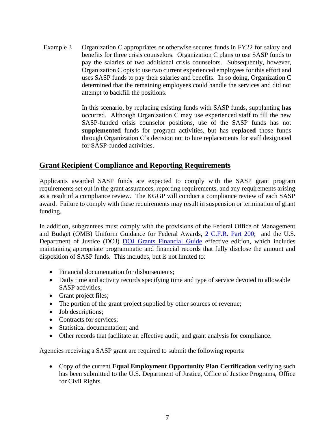Example 3 Organization C appropriates or otherwise secures funds in FY22 for salary and benefits for three crisis counselors. Organization C plans to use SASP funds to pay the salaries of two additional crisis counselors. Subsequently, however, Organization C opts to use two current experienced employees for this effort and uses SASP funds to pay their salaries and benefits. In so doing, Organization C determined that the remaining employees could handle the services and did not attempt to backfill the positions.

> In this scenario, by replacing existing funds with SASP funds, supplanting **has** occurred. Although Organization C may use experienced staff to fill the new SASP-funded crisis counselor positions, use of the SASP funds has not **supplemented** funds for program activities, but has **replaced** those funds through Organization C's decision not to hire replacements for staff designated for SASP-funded activities.

## **Grant Recipient Compliance and Reporting Requirements**

Applicants awarded SASP funds are expected to comply with the SASP grant program requirements set out in the grant assurances, reporting requirements, and any requirements arising as a result of a compliance review. The KGGP will conduct a compliance review of each SASP award. Failure to comply with these requirements may result in suspension or termination of grant funding.

In addition, subgrantees must comply with the provisions of the Federal Office of Management and Budget (OMB) Uniform Guidance for Federal Awards, 2 C.F.R. [Part 200;](http://www.ecfr.gov/cgi-bin/text-idx?SID=2c6d1c9f8de1f9619110b4599d84a234&mc=true&node=pt2.1.200&rgn=div5#_top) and the U.S. Department of Justice (DOJ) [DOJ Grants Financial Guide](http://ojp.gov/financialguide/DOJ/index.htm) effective edition, which includes maintaining appropriate programmatic and financial records that fully disclose the amount and disposition of SASP funds. This includes, but is not limited to:

- Financial documentation for disbursements;
- Daily time and activity records specifying time and type of service devoted to allowable SASP activities;
- Grant project files;
- The portion of the grant project supplied by other sources of revenue;
- Job descriptions;
- Contracts for services:
- Statistical documentation; and
- Other records that facilitate an effective audit, and grant analysis for compliance.

Agencies receiving a SASP grant are required to submit the following reports:

• Copy of the current **Equal Employment Opportunity Plan Certification** verifying such has been submitted to the U.S. Department of Justice, Office of Justice Programs, Office for Civil Rights.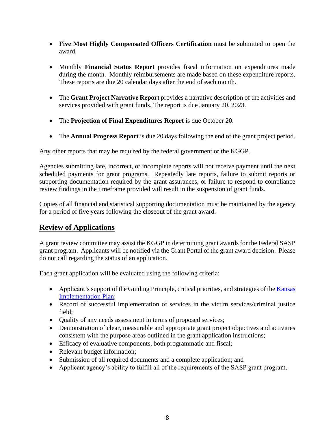- **Five Most Highly Compensated Officers Certification** must be submitted to open the award.
- Monthly **Financial Status Report** provides fiscal information on expenditures made during the month. Monthly reimbursements are made based on these expenditure reports. These reports are due 20 calendar days after the end of each month.
- The **Grant Project Narrative Report** provides a narrative description of the activities and services provided with grant funds. The report is due January 20, 2023.
- The **Projection of Final Expenditures Report** is due October 20.
- The **Annual Progress Report** is due 20 days following the end of the grant project period.

Any other reports that may be required by the federal government or the KGGP.

Agencies submitting late, incorrect, or incomplete reports will not receive payment until the next scheduled payments for grant programs. Repeatedly late reports, failure to submit reports or supporting documentation required by the grant assurances, or failure to respond to compliance review findings in the timeframe provided will result in the suspension of grant funds.

Copies of all financial and statistical supporting documentation must be maintained by the agency for a period of five years following the closeout of the grant award.

## **Review of Applications**

A grant review committee may assist the KGGP in determining grant awards for the Federal SASP grant program. Applicants will be notified via the Grant Portal of the grant award decision. Please do not call regarding the status of an application.

Each grant application will be evaluated using the following criteria:

- Applicant's support of the Guiding Principle, critical priorities, and strategies of the Kansas [Implementation Plan;](https://grants.ks.gov/docs/librariesprovider22/grant-reports/kansas-implementation-plan-2022-2025.pdf?sfvrsn=ec529846_7)
- Record of successful implementation of services in the victim services/criminal justice field;
- Quality of any needs assessment in terms of proposed services;
- Demonstration of clear, measurable and appropriate grant project objectives and activities consistent with the purpose areas outlined in the grant application instructions;
- Efficacy of evaluative components, both programmatic and fiscal;
- Relevant budget information;
- Submission of all required documents and a complete application; and
- Applicant agency's ability to fulfill all of the requirements of the SASP grant program.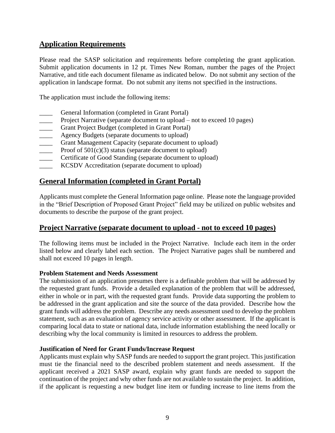## **Application Requirements**

Please read the SASP solicitation and requirements before completing the grant application. Submit application documents in 12 pt. Times New Roman, number the pages of the Project Narrative, and title each document filename as indicated below. Do not submit any section of the application in landscape format. Do not submit any items not specified in the instructions.

The application must include the following items:

- General Information (completed in Grant Portal)
- Project Narrative (separate document to upload not to exceed 10 pages)
- Grant Project Budget (completed in Grant Portal)
- **EXECUTE:** Agency Budgets (separate documents to upload)
- Grant Management Capacity (separate document to upload)
- **EXECUTE:** Proof of  $501(c)(3)$  status (separate document to upload)
- Certificate of Good Standing (separate document to upload)
- KCSDV Accreditation (separate document to upload)

## **General Information (completed in Grant Portal)**

Applicants must complete the General Information page online. Please note the language provided in the "Brief Description of Proposed Grant Project" field may be utilized on public websites and documents to describe the purpose of the grant project.

#### **Project Narrative (separate document to upload - not to exceed 10 pages)**

The following items must be included in the Project Narrative. Include each item in the order listed below and clearly label each section. The Project Narrative pages shall be numbered and shall not exceed 10 pages in length.

#### **Problem Statement and Needs Assessment**

The submission of an application presumes there is a definable problem that will be addressed by the requested grant funds. Provide a detailed explanation of the problem that will be addressed, either in whole or in part, with the requested grant funds. Provide data supporting the problem to be addressed in the grant application and site the source of the data provided. Describe how the grant funds will address the problem. Describe any needs assessment used to develop the problem statement, such as an evaluation of agency service activity or other assessment. If the applicant is comparing local data to state or national data, include information establishing the need locally or describing why the local community is limited in resources to address the problem.

#### **Justification of Need for Grant Funds/Increase Request**

Applicants must explain why SASP funds are needed to support the grant project. This justification must tie the financial need to the described problem statement and needs assessment. If the applicant received a 2021 SASP award, explain why grant funds are needed to support the continuation of the project and why other funds are not available to sustain the project. In addition, if the applicant is requesting a new budget line item or funding increase to line items from the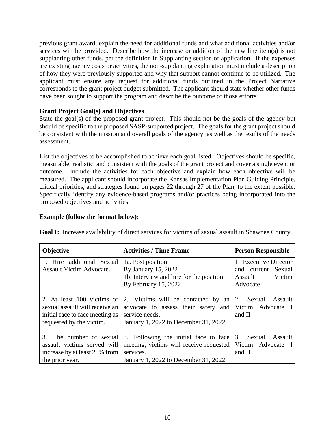previous grant award, explain the need for additional funds and what additional activities and/or services will be provided. Describe how the increase or addition of the new line item(s) is not supplanting other funds, per the definition in Supplanting section of application. If the expenses are existing agency costs or activities, the non-supplanting explanation must include a description of how they were previously supported and why that support cannot continue to be utilized. The applicant must ensure any request for additional funds outlined in the Project Narrative corresponds to the grant project budget submitted. The applicant should state whether other funds have been sought to support the program and describe the outcome of those efforts.

#### **Grant Project Goal(s) and Objectives**

State the goal(s) of the proposed grant project. This should not be the goals of the agency but should be specific to the proposed SASP-supported project. The goals for the grant project should be consistent with the mission and overall goals of the agency, as well as the results of the needs assessment.

List the objectives to be accomplished to achieve each goal listed. Objectives should be specific, measurable, realistic, and consistent with the goals of the grant project and cover a single event or outcome. Include the activities for each objective and explain how each objective will be measured. The applicant should incorporate the Kansas Implementation Plan Guiding Principle, critical priorities, and strategies found on pages 22 through 27 of the Plan, to the extent possible. Specifically identify any evidence-based programs and/or practices being incorporated into the proposed objectives and activities.

#### **Example (follow the format below):**

| <b>Objective</b>                | <b>Activities / Time Frame</b>                              | <b>Person Responsible</b> |
|---------------------------------|-------------------------------------------------------------|---------------------------|
| 1. Hire additional Sexual       | 1a. Post position                                           | 1. Executive Director     |
| Assault Victim Advocate.        | By January 15, 2022                                         | and current Sexual        |
|                                 | 1b. Interview and hire for the position.                    | Victim<br>Assault         |
|                                 | By February 15, 2022                                        | Advocate                  |
|                                 |                                                             |                           |
| 2. At least 100 victims of      | 2. Victims will be contacted by an 2. Sexual Assault        |                           |
| sexual assault will receive an  | advocate to assess their safety and Victim Advocate I       |                           |
| initial face to face meeting as | service needs.                                              | and II                    |
| requested by the victim.        | January 1, 2022 to December 31, 2022                        |                           |
|                                 |                                                             |                           |
| 3. The number of sexual         | 3. Following the initial face to face                       | 3. Sexual Assault         |
| assault victims served will     | meeting, victims will receive requested   Victim Advocate I |                           |
| increase by at least 25% from   | services.                                                   | and II                    |
| the prior year.                 | January 1, 2022 to December 31, 2022                        |                           |

**Goal I:** Increase availability of direct services for victims of sexual assault in Shawnee County.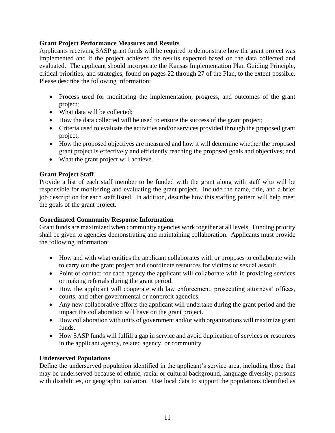#### **Grant Project Performance Measures and Results**

Applicants receiving SASP grant funds will be required to demonstrate how the grant project was implemented and if the project achieved the results expected based on the data collected and evaluated. The applicant should incorporate the Kansas Implementation Plan Guiding Principle, critical priorities, and strategies, found on pages 22 through 27 of the Plan, to the extent possible. Please describe the following information:

- Process used for monitoring the implementation, progress, and outcomes of the grant project;
- What data will be collected;
- How the data collected will be used to ensure the success of the grant project;
- Criteria used to evaluate the activities and/or services provided through the proposed grant project;
- How the proposed objectives are measured and how it will determine whether the proposed grant project is effectively and efficiently reaching the proposed goals and objectives; and
- What the grant project will achieve.

## **Grant Project Staff**

Provide a list of each staff member to be funded with the grant along with staff who will be responsible for monitoring and evaluating the grant project. Include the name, title, and a brief job description for each staff listed. In addition, describe how this staffing pattern will help meet the goals of the grant project.

#### **Coordinated Community Response Information**

Grant funds are maximized when community agencies work together at all levels. Funding priority shall be given to agencies demonstrating and maintaining collaboration. Applicants must provide the following information:

- How and with what entities the applicant collaborates with or proposes to collaborate with to carry out the grant project and coordinate resources for victims of sexual assault.
- Point of contact for each agency the applicant will collaborate with in providing services or making referrals during the grant period.
- How the applicant will cooperate with law enforcement, prosecuting attorneys' offices, courts, and other governmental or nonprofit agencies.
- Any new collaborative efforts the applicant will undertake during the grant period and the impact the collaboration will have on the grant project.
- How collaboration with units of government and/or with organizations will maximize grant funds.
- How SASP funds will fulfill a gap in service and avoid duplication of services or resources in the applicant agency, related agency, or community.

#### **Underserved Populations**

Define the underserved population identified in the applicant's service area, including those that may be underserved because of ethnic, racial or cultural background, language diversity, persons with disabilities, or geographic isolation. Use local data to support the populations identified as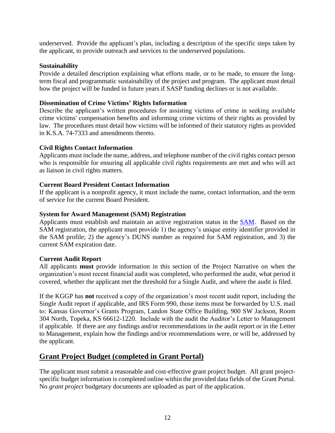underserved. Provide the applicant's plan, including a description of the specific steps taken by the applicant, to provide outreach and services to the underserved populations.

#### **Sustainability**

Provide a detailed description explaining what efforts made, or to be made, to ensure the longterm fiscal and programmatic sustainability of the project and program. The applicant must detail how the project will be funded in future years if SASP funding declines or is not available.

#### **Dissemination of Crime Victims' Rights Information**

Describe the applicant's written procedures for assisting victims of crime in seeking available crime victims' compensation benefits and informing crime victims of their rights as provided by law. The procedures must detail how victims will be informed of their statutory rights as provided in K.S.A. 74-7333 and amendments thereto.

#### **Civil Rights Contact Information**

Applicants must include the name, address, and telephone number of the civil rights contact person who is responsible for ensuring all applicable civil rights requirements are met and who will act as liaison in civil rights matters.

#### **Current Board President Contact Information**

If the applicant is a nonprofit agency, it must include the name, contact information, and the term of service for the current Board President.

#### **System for Award Management (SAM) Registration**

Applicants must establish and maintain an active registration status in the [SAM.](http://www.sam.gov/) Based on the SAM registration, the applicant must provide 1) the agency's unique entity identifier provided in the SAM profile; 2) the agency's DUNS number as required for SAM registration, and 3) the current SAM expiration date.

#### **Current Audit Report**

All applicants **must** provide information in this section of the Project Narrative on when the organization's most recent financial audit was completed, who performed the audit, what period it covered, whether the applicant met the threshold for a Single Audit, and where the audit is filed.

If the KGGP has **not** received a copy of the organization's most recent audit report, including the Single Audit report if applicable, and IRS Form 990, those items must be forwarded by U.S. mail to: Kansas Governor's Grants Program, Landon State Office Building, 900 SW Jackson, Room 304 North, Topeka, KS 66612-1220. Include with the audit the Auditor's Letter to Management if applicable. If there are any findings and/or recommendations in the audit report or in the Letter to Management, explain how the findings and/or recommendations were, or will be, addressed by the applicant.

#### **Grant Project Budget (completed in Grant Portal)**

The applicant must submit a reasonable and cost-effective grant project budget. All grant projectspecific budget information is completed online within the provided data fields of the Grant Portal. No *grant project* budgetary documents are uploaded as part of the application.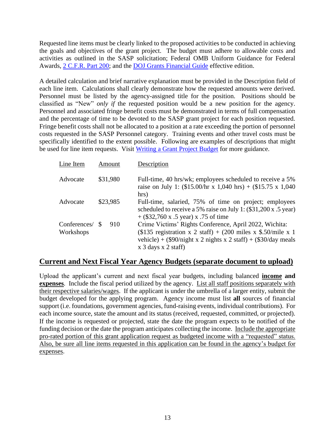Requested line items must be clearly linked to the proposed activities to be conducted in achieving the goals and objectives of the grant project. The budget must adhere to allowable costs and activities as outlined in the SASP solicitation; Federal OMB Uniform Guidance for Federal Awards, 2 C.F.R. [Part 200;](http://www.ecfr.gov/cgi-bin/text-idx?SID=2c6d1c9f8de1f9619110b4599d84a234&mc=true&node=pt2.1.200&rgn=div5#_top) and the [DOJ Grants Financial Guide](http://ojp.gov/financialguide/DOJ/index.htm) effective edition.

A detailed calculation and brief narrative explanation must be provided in the Description field of each line item. Calculations shall clearly demonstrate how the requested amounts were derived. Personnel must be listed by the agency-assigned title for the position. Positions should be classified as "New" *only if* the requested position would be a new position for the agency. Personnel and associated fringe benefit costs must be demonstrated in terms of full compensation and the percentage of time to be devoted to the SASP grant project for each position requested. Fringe benefit costs shall not be allocated to a position at a rate exceeding the portion of personnel costs requested in the SASP Personnel category. Training events and other travel costs must be specifically identified to the extent possible. Following are examples of descriptions that might be used for line item requests. Visit [Writing a Grant Project Budget](https://grants.ks.gov/docs/default-source/how-to-guides/writing-a-grant-project-budget-guide.pdf?sfvrsn=2d1f541a_4) for more guidance.

| Line Item                 | Amount    | Description                                                                                                                                                                                                                             |
|---------------------------|-----------|-----------------------------------------------------------------------------------------------------------------------------------------------------------------------------------------------------------------------------------------|
| Advocate                  | \$31,980  | Full-time, 40 hrs/wk; employees scheduled to receive a 5%<br>raise on July 1: $(\$15.00/hr \times 1,040 hrs) + (\$15.75 \times 1,040$<br>hrs)                                                                                           |
| Advocate                  | \$23,985  | Full-time, salaried, 75% of time on project; employees<br>scheduled to receive a 5% raise on July 1: (\$31,200 x .5 year)<br>$+$ (\$32,760 x .5 year) x .75 of time                                                                     |
| Conferences/<br>Workshops | 910<br>-S | Crime Victims' Rights Conference, April 2022, Wichita:<br>$(\$135$ registration x 2 staff) + (200 miles x \$.50/mile x 1<br>vehicle) + $(\$90/night \times 2$ nights x 2 staff) + $(\$30/day \text{ meals})$<br>$x$ 3 days $x$ 2 staff) |

#### **Current and Next Fiscal Year Agency Budgets (separate document to upload)**

Upload the applicant's current and next fiscal year budgets, including balanced **income and expenses**. Include the fiscal period utilized by the agency. List all staff positions separately with their respective salaries/wages. If the applicant is under the umbrella of a larger entity, submit the budget developed for the applying program. Agency income must list **all** sources of financial support (i.e. foundations, government agencies, fund-raising events, individual contributions). For each income source, state the amount and its status (received, requested, committed, or projected). If the income is requested or projected, state the date the program expects to be notified of the funding decision or the date the program anticipates collecting the income. Include the appropriate pro-rated portion of this grant application request as budgeted income with a "requested" status. Also, be sure all line items requested in this application can be found in the agency's budget for expenses.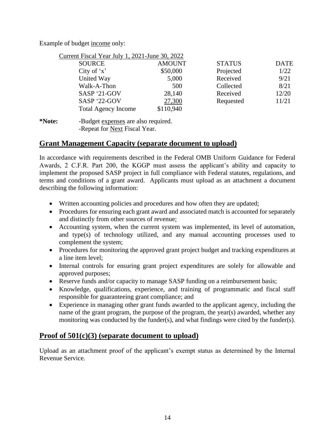Example of budget income only:

| Current Fiscal Year July 1, 2021-June 30, 2022 |               |               |             |
|------------------------------------------------|---------------|---------------|-------------|
| <b>SOURCE</b>                                  | <b>AMOUNT</b> | <b>STATUS</b> | <b>DATE</b> |
| City of $x'$                                   | \$50,000      | Projected     | 1/22        |
| United Way                                     | 5,000         | Received      | 9/21        |
| Walk-A-Thon                                    | 500           | Collected     | 8/21        |
| SASP '21-GOV                                   | 28,140        | Received      | 12/20       |
| SASP '22-GOV                                   | 27,300        | Requested     | 11/21       |
| <b>Total Agency Income</b>                     | \$110,940     |               |             |

**\*Note:** -Budget expenses are also required. -Repeat for Next Fiscal Year.

## **Grant Management Capacity (separate document to upload)**

In accordance with requirements described in the Federal OMB Uniform Guidance for Federal Awards, 2 C.F.R. Part 200, the KGGP must assess the applicant's ability and capacity to implement the proposed SASP project in full compliance with Federal statutes, regulations, and terms and conditions of a grant award. Applicants must upload as an attachment a document describing the following information:

- Written accounting policies and procedures and how often they are updated;
- Procedures for ensuring each grant award and associated match is accounted for separately and distinctly from other sources of revenue;
- Accounting system, when the current system was implemented, its level of automation, and type(s) of technology utilized, and any manual accounting processes used to complement the system;
- Procedures for monitoring the approved grant project budget and tracking expenditures at a line item level;
- Internal controls for ensuring grant project expenditures are solely for allowable and approved purposes;
- Reserve funds and/or capacity to manage SASP funding on a reimbursement basis;
- Knowledge, qualifications, experience, and training of programmatic and fiscal staff responsible for guaranteeing grant compliance; and
- Experience in managing other grant funds awarded to the applicant agency, including the name of the grant program, the purpose of the program, the year(s) awarded, whether any monitoring was conducted by the funder(s), and what findings were cited by the funder(s).

## **Proof of 501(c)(3) (separate document to upload)**

Upload as an attachment proof of the applicant's exempt status as determined by the Internal Revenue Service.